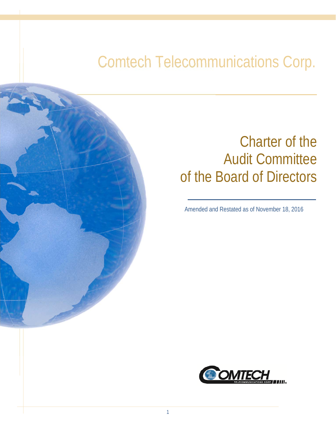# Comtech Telecommunications Corp.

## Charter of the Audit Committee of the Board of Directors

Amended and Restated as of November 18, 2016

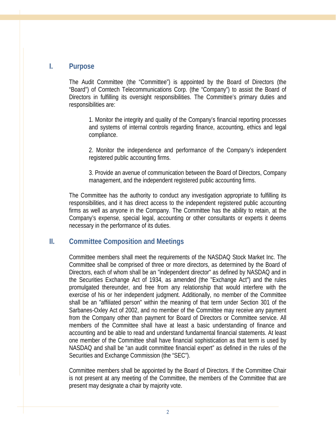#### **I. Purpose**

The Audit Committee (the "Committee") is appointed by the Board of Directors (the "Board") of Comtech Telecommunications Corp. (the "Company") to assist the Board of Directors in fulfilling its oversight responsibilities. The Committee's primary duties and responsibilities are:

1. Monitor the integrity and quality of the Company's financial reporting processes and systems of internal controls regarding finance, accounting, ethics and legal compliance.

2. Monitor the independence and performance of the Company's independent registered public accounting firms.

3. Provide an avenue of communication between the Board of Directors, Company management, and the independent registered public accounting firms.

The Committee has the authority to conduct any investigation appropriate to fulfilling its responsibilities, and it has direct access to the independent registered public accounting firms as well as anyone in the Company. The Committee has the ability to retain, at the Company's expense, special legal, accounting or other consultants or experts it deems necessary in the performance of its duties.

#### **II. Committee Composition and Meetings**

Committee members shall meet the requirements of the NASDAQ Stock Market Inc. The Committee shall be comprised of three or more directors, as determined by the Board of Directors, each of whom shall be an "independent director" as defined by NASDAQ and in the Securities Exchange Act of 1934, as amended (the "Exchange Act") and the rules promulgated thereunder, and free from any relationship that would interfere with the exercise of his or her independent judgment. Additionally, no member of the Committee shall be an "affiliated person" within the meaning of that term under Section 301 of the Sarbanes-Oxley Act of 2002, and no member of the Committee may receive any payment from the Company other than payment for Board of Directors or Committee service. All members of the Committee shall have at least a basic understanding of finance and accounting and be able to read and understand fundamental financial statements. At least one member of the Committee shall have financial sophistication as that term is used by NASDAQ and shall be "an audit committee financial expert" as defined in the rules of the Securities and Exchange Commission (the "SEC").

Committee members shall be appointed by the Board of Directors. If the Committee Chair is not present at any meeting of the Committee, the members of the Committee that are present may designate a chair by majority vote.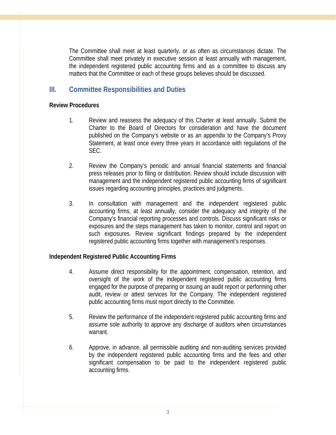The Committee shall meet at least quarterly, or as often as circumstances dictate. The Committee shall meet privately in executive session at least annually with management, the independent registered public accounting firms and as a committee to discuss any matters that the Committee or each of these groups believes should be discussed.

### **III. Committee Responsibilities and Duties**

#### **Review Procedures**

- 1. Review and reassess the adequacy of this Charter at least annually. Submit the Charter to the Board of Directors for consideration and have the document published on the Company's website or as an appendix to the Company's Proxy Statement, at least once every three years in accordance with regulations of the SEC.
- 2. Review the Company's periodic and annual financial statements and financial press releases prior to filing or distribution. Review should include discussion with management and the independent registered public accounting firms of significant issues regarding accounting principles, practices and judgments.
- 3. In consultation with management and the independent registered public accounting firms, at least annually, consider the adequacy and integrity of the Company's financial reporting processes and controls. Discuss significant risks or exposures and the steps management has taken to monitor, control and report on such exposures. Review significant findings prepared by the independent registered public accounting firms together with management's responses.

#### **Independent Registered Public Accounting Firms**

- 4. Assume direct responsibility for the appointment, compensation, retention, and oversight of the work of the independent registered public accounting firms engaged for the purpose of preparing or issuing an audit report or performing other audit, review or attest services for the Company. The independent registered public accounting firms must report directly to the Committee.
- 5. Review the performance of the independent registered public accounting firms and assume sole authority to approve any discharge of auditors when circumstances warrant.
- 6. Approve, in advance, all permissible auditing and non-auditing services provided by the independent registered public accounting firms and the fees and other significant compensation to be paid to the independent registered public accounting firms.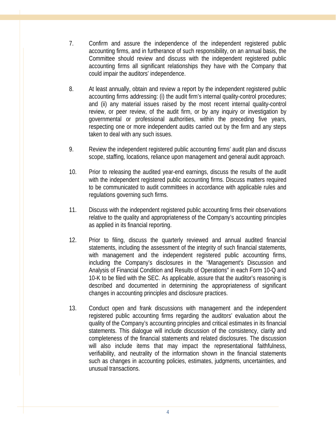- 7. Confirm and assure the independence of the independent registered public accounting firms, and in furtherance of such responsibility, on an annual basis, the Committee should review and discuss with the independent registered public accounting firms all significant relationships they have with the Company that could impair the auditors' independence.
- 8. At least annually, obtain and review a report by the independent registered public accounting firms addressing: (i) the audit firm's internal quality-control procedures; and (ii) any material issues raised by the most recent internal quality-control review, or peer review, of the audit firm, or by any inquiry or investigation by governmental or professional authorities, within the preceding five years, respecting one or more independent audits carried out by the firm and any steps taken to deal with any such issues.
- 9. Review the independent registered public accounting firms' audit plan and discuss scope, staffing, locations, reliance upon management and general audit approach.
- 10. Prior to releasing the audited year-end earnings, discuss the results of the audit with the independent registered public accounting firms. Discuss matters required to be communicated to audit committees in accordance with applicable rules and regulations governing such firms.
- 11. Discuss with the independent registered public accounting firms their observations relative to the quality and appropriateness of the Company's accounting principles as applied in its financial reporting.
- 12. Prior to filing, discuss the quarterly reviewed and annual audited financial statements, including the assessment of the integrity of such financial statements, with management and the independent registered public accounting firms, including the Company's disclosures in the "Management's Discussion and Analysis of Financial Condition and Results of Operations" in each Form 10-Q and 10-K to be filed with the SEC. As applicable, assure that the auditor's reasoning is described and documented in determining the appropriateness of significant changes in accounting principles and disclosure practices.
- 13. Conduct open and frank discussions with management and the independent registered public accounting firms regarding the auditors' evaluation about the quality of the Company's accounting principles and critical estimates in its financial statements. This dialogue will include discussion of the consistency, clarity and completeness of the financial statements and related disclosures. The discussion will also include items that may impact the representational faithfulness, verifiability, and neutrality of the information shown in the financial statements such as changes in accounting policies, estimates, judgments, uncertainties, and unusual transactions.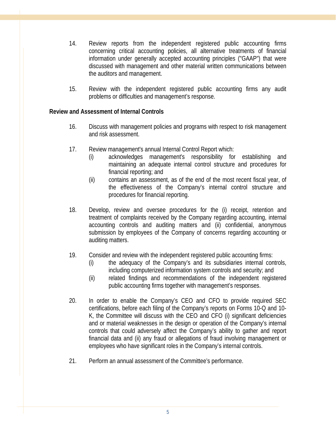- 14. Review reports from the independent registered public accounting firms concerning critical accounting policies, all alternative treatments of financial information under generally accepted accounting principles ("GAAP") that were discussed with management and other material written communications between the auditors and management.
- 15. Review with the independent registered public accounting firms any audit problems or difficulties and management's response.

#### **Review and Assessment of Internal Controls**

- 16. Discuss with management policies and programs with respect to risk management and risk assessment.
- 17. Review management's annual Internal Control Report which:
	- (i) acknowledges management's responsibility for establishing and maintaining an adequate internal control structure and procedures for financial reporting; and
	- (ii) contains an assessment, as of the end of the most recent fiscal year, of the effectiveness of the Company's internal control structure and procedures for financial reporting.
- 18. Develop, review and oversee procedures for the (i) receipt, retention and treatment of complaints received by the Company regarding accounting, internal accounting controls and auditing matters and (ii) confidential, anonymous submission by employees of the Company of concerns regarding accounting or auditing matters.
- 19. Consider and review with the independent registered public accounting firms:
	- (i) the adequacy of the Company's and its subsidiaries internal controls, including computerized information system controls and security; and
	- (ii) related findings and recommendations of the independent registered public accounting firms together with management's responses.
- 20. In order to enable the Company's CEO and CFO to provide required SEC certifications, before each filing of the Company's reports on Forms 10-Q and 10- K, the Committee will discuss with the CEO and CFO (i) significant deficiencies and or material weaknesses in the design or operation of the Company's internal controls that could adversely affect the Company's ability to gather and report financial data and (ii) any fraud or allegations of fraud involving management or employees who have significant roles in the Company's internal controls.
- 21. Perform an annual assessment of the Committee's performance.